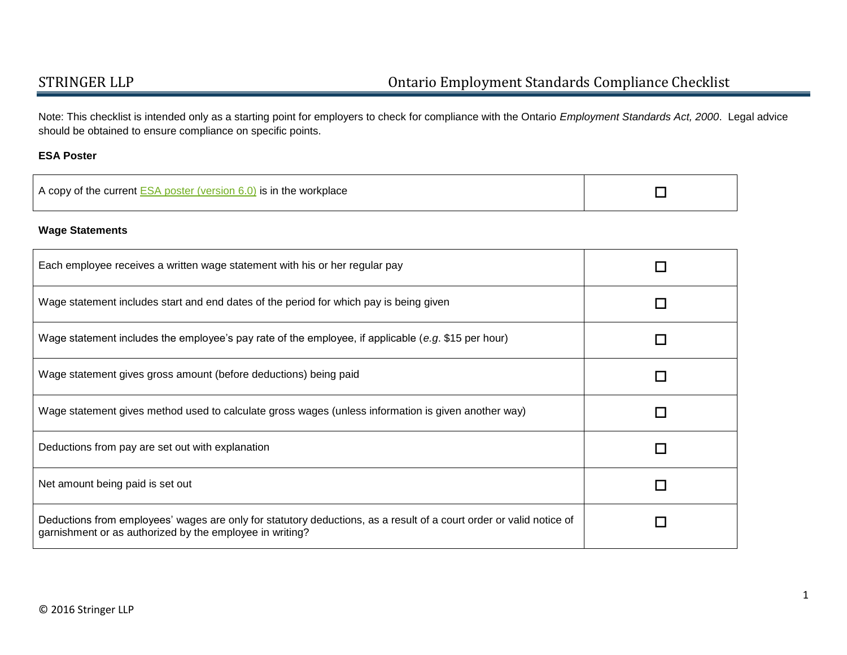Note: This checklist is intended only as a starting point for employers to check for compliance with the Ontario *Employment Standards Act, 2000*. Legal advice should be obtained to ensure compliance on specific points.

### **ESA Poster**

| A copy of the current ESA poster (version 6.0) is in the workplace |
|--------------------------------------------------------------------|
|--------------------------------------------------------------------|

### **Wage Statements**

| Each employee receives a written wage statement with his or her regular pay                                                                                                     |   |
|---------------------------------------------------------------------------------------------------------------------------------------------------------------------------------|---|
| Wage statement includes start and end dates of the period for which pay is being given                                                                                          | П |
| Wage statement includes the employee's pay rate of the employee, if applicable (e.g. \$15 per hour)                                                                             | П |
| Wage statement gives gross amount (before deductions) being paid                                                                                                                | П |
| Wage statement gives method used to calculate gross wages (unless information is given another way)                                                                             | П |
| Deductions from pay are set out with explanation                                                                                                                                | П |
| Net amount being paid is set out                                                                                                                                                | П |
| Deductions from employees' wages are only for statutory deductions, as a result of a court order or valid notice of<br>garnishment or as authorized by the employee in writing? |   |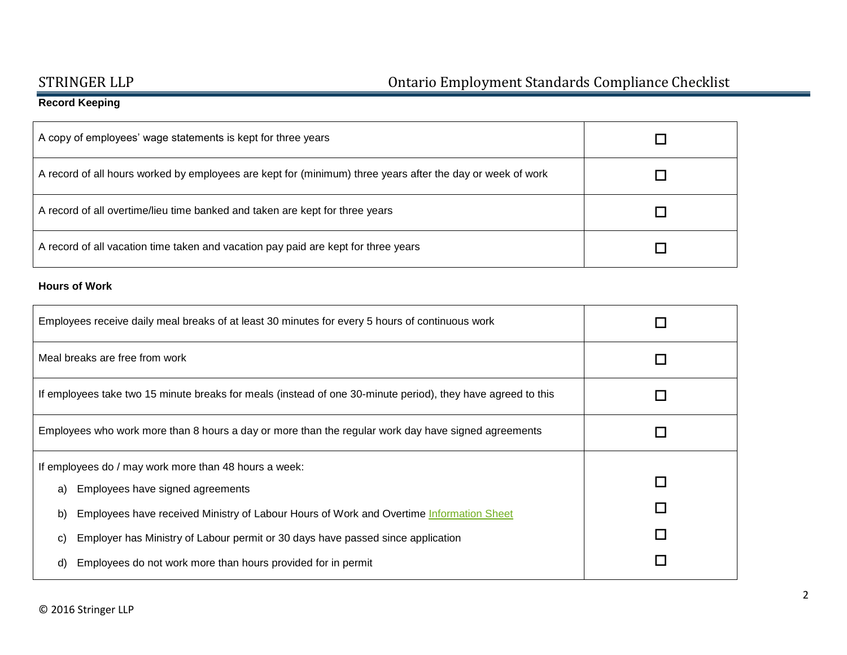# STRINGER LLP Ontario Employment Standards Compliance Checklist

## **Record Keeping**

| A copy of employees' wage statements is kept for three years                                               |  |
|------------------------------------------------------------------------------------------------------------|--|
| A record of all hours worked by employees are kept for (minimum) three years after the day or week of work |  |
| A record of all overtime/lieu time banked and taken are kept for three years                               |  |
| A record of all vacation time taken and vacation pay paid are kept for three years                         |  |

### **Hours of Work**

| Employees receive daily meal breaks of at least 30 minutes for every 5 hours of continuous work              |   |
|--------------------------------------------------------------------------------------------------------------|---|
| Meal breaks are free from work                                                                               |   |
| If employees take two 15 minute breaks for meals (instead of one 30-minute period), they have agreed to this |   |
| Employees who work more than 8 hours a day or more than the regular work day have signed agreements          |   |
| If employees do / may work more than 48 hours a week:                                                        |   |
| Employees have signed agreements<br>a)                                                                       | П |
| Employees have received Ministry of Labour Hours of Work and Overtime Information Sheet<br>b)                |   |
| Employer has Ministry of Labour permit or 30 days have passed since application<br>C)                        |   |
| Employees do not work more than hours provided for in permit<br>d)                                           |   |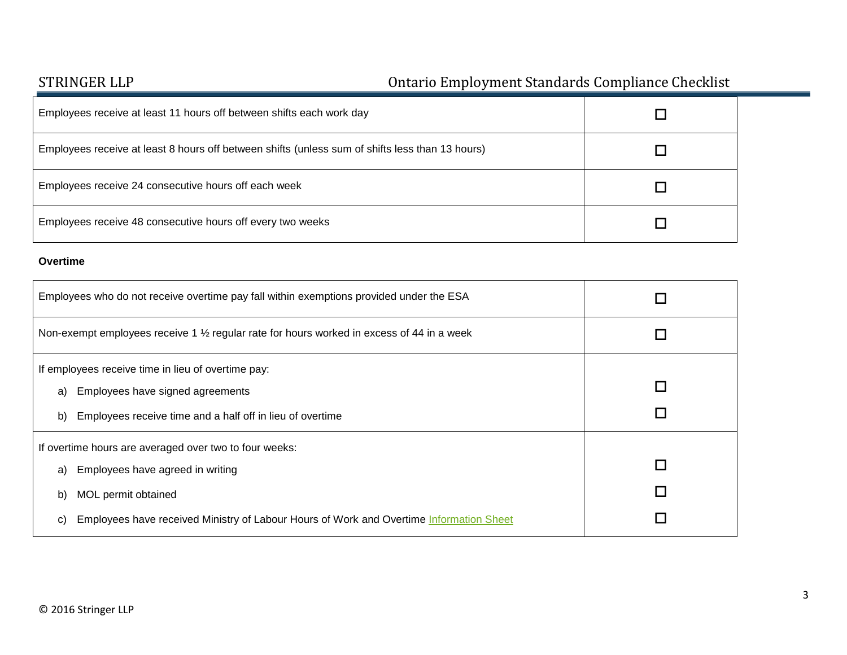# STRINGER LLP Ontario Employment Standards Compliance Checklist

| Employees receive at least 11 hours off between shifts each work day                            |  |
|-------------------------------------------------------------------------------------------------|--|
| Employees receive at least 8 hours off between shifts (unless sum of shifts less than 13 hours) |  |
| Employees receive 24 consecutive hours off each week                                            |  |
| Employees receive 48 consecutive hours off every two weeks                                      |  |

### **Overtime**

| Employees who do not receive overtime pay fall within exemptions provided under the ESA                                                                                                                                        |   |
|--------------------------------------------------------------------------------------------------------------------------------------------------------------------------------------------------------------------------------|---|
| Non-exempt employees receive 1 1/2 regular rate for hours worked in excess of 44 in a week                                                                                                                                     |   |
| If employees receive time in lieu of overtime pay:<br>Employees have signed agreements<br>a)<br>Employees receive time and a half off in lieu of overtime<br>b)                                                                | П |
| If overtime hours are averaged over two to four weeks:<br>Employees have agreed in writing<br>a)<br>MOL permit obtained<br>b)<br>Employees have received Ministry of Labour Hours of Work and Overtime Information Sheet<br>C) |   |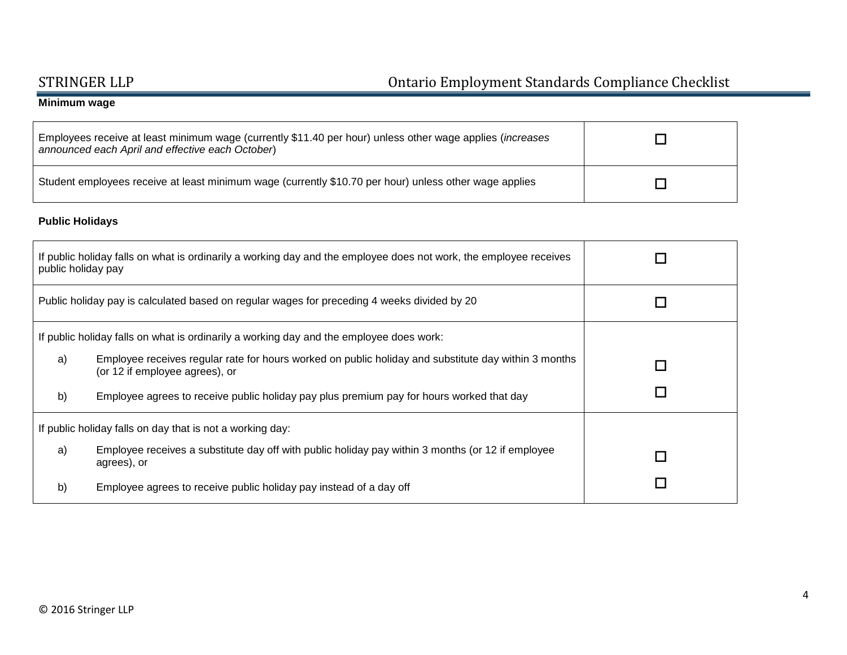# STRINGER LLP Ontario Employment Standards Compliance Checklist

## **Minimum wage**

| Employees receive at least minimum wage (currently \$11.40 per hour) unless other wage applies ( <i>increases</i><br>announced each April and effective each October) |  |
|-----------------------------------------------------------------------------------------------------------------------------------------------------------------------|--|
| Student employees receive at least minimum wage (currently \$10.70 per hour) unless other wage applies                                                                |  |

## **Public Holidays**

| public holiday pay                                        | If public holiday falls on what is ordinarily a working day and the employee does not work, the employee receives                      |                          |
|-----------------------------------------------------------|----------------------------------------------------------------------------------------------------------------------------------------|--------------------------|
|                                                           | Public holiday pay is calculated based on regular wages for preceding 4 weeks divided by 20                                            | $\overline{\phantom{a}}$ |
|                                                           | If public holiday falls on what is ordinarily a working day and the employee does work:                                                |                          |
| a)                                                        | Employee receives regular rate for hours worked on public holiday and substitute day within 3 months<br>(or 12 if employee agrees), or | П                        |
| b)                                                        | Employee agrees to receive public holiday pay plus premium pay for hours worked that day                                               | $\Box$                   |
| If public holiday falls on day that is not a working day: |                                                                                                                                        |                          |
| a)                                                        | Employee receives a substitute day off with public holiday pay within 3 months (or 12 if employee<br>agrees), or                       | П                        |
| b)                                                        | Employee agrees to receive public holiday pay instead of a day off                                                                     |                          |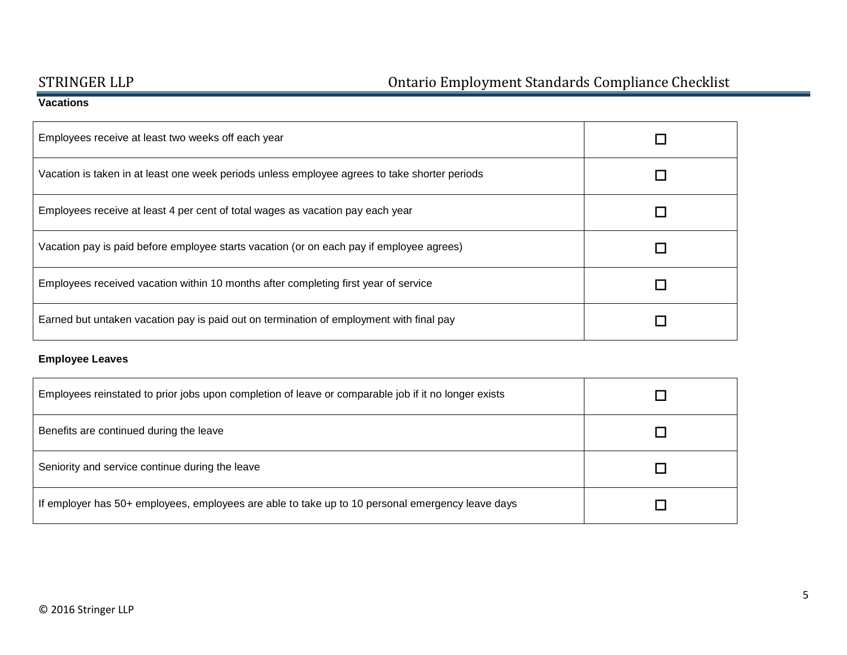## **Vacations**

| Employees receive at least two weeks off each year                                            |  |
|-----------------------------------------------------------------------------------------------|--|
| Vacation is taken in at least one week periods unless employee agrees to take shorter periods |  |
| Employees receive at least 4 per cent of total wages as vacation pay each year                |  |
| Vacation pay is paid before employee starts vacation (or on each pay if employee agrees)      |  |
| Employees received vacation within 10 months after completing first year of service           |  |
| Earned but untaken vacation pay is paid out on termination of employment with final pay       |  |

## **Employee Leaves**

| Employees reinstated to prior jobs upon completion of leave or comparable job if it no longer exists |  |
|------------------------------------------------------------------------------------------------------|--|
| Benefits are continued during the leave                                                              |  |
| Seniority and service continue during the leave                                                      |  |
| If employer has 50+ employees, employees are able to take up to 10 personal emergency leave days     |  |